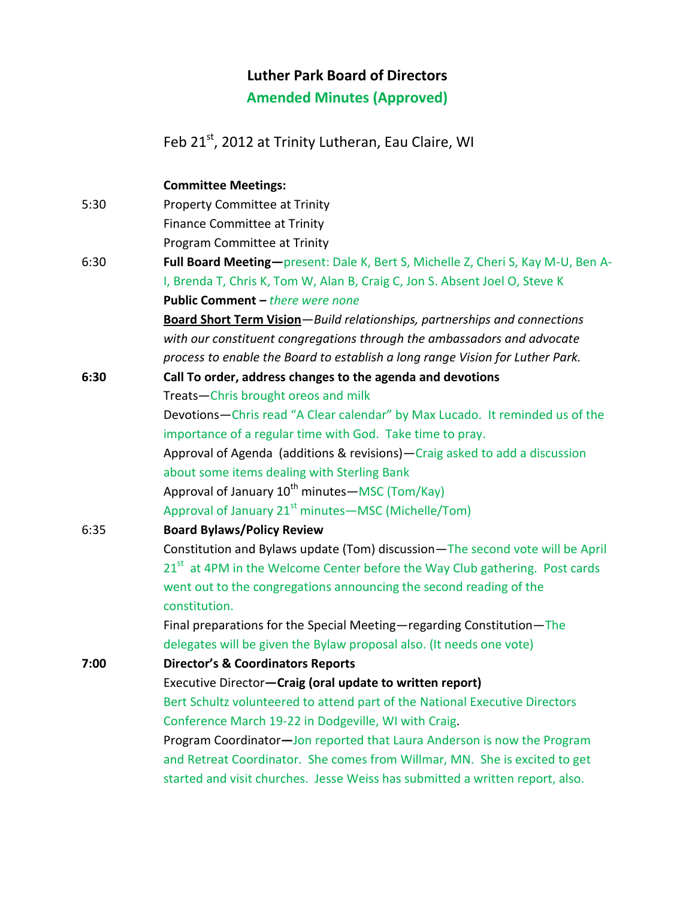# **Luther Park Board of Directors**

**Amended Minutes (Approved)**

Feb 21<sup>st</sup>, 2012 at Trinity Lutheran, Eau Claire, WI

**Committee Meetings:** 5:30 Property Committee at Trinity Finance Committee at Trinity Program Committee at Trinity 6:30 **Full Board Meeting—**present: Dale K, Bert S, Michelle Z, Cheri S, Kay M-U, Ben A-I, Brenda T, Chris K, Tom W, Alan B, Craig C, Jon S. Absent Joel O, Steve K **Public Comment –** *there were none* **Board Short Term Vision**—*Build relationships, partnerships and connections with our constituent congregations through the ambassadors and advocate process to enable the Board to establish a long range Vision for Luther Park.* **6:30 Call To order, address changes to the agenda and devotions** Treats—Chris brought oreos and milk Devotions—Chris read "A Clear calendar" by Max Lucado. It reminded us of the importance of a regular time with God. Take time to pray. Approval of Agenda (additions & revisions)—Craig asked to add a discussion about some items dealing with Sterling Bank Approval of January  $10^{th}$  minutes—MSC (Tom/Kay) Approval of January  $21^{st}$  minutes—MSC (Michelle/Tom)

6:35 **Board Bylaws/Policy Review**

Constitution and Bylaws update (Tom) discussion—The second vote will be April 21<sup>st</sup> at 4PM in the Welcome Center before the Way Club gathering. Post cards went out to the congregations announcing the second reading of the constitution.

Final preparations for the Special Meeting—regarding Constitution—The delegates will be given the Bylaw proposal also. (It needs one vote)

**7:00 Director's & Coordinators Reports** Executive Director**—Craig (oral update to written report)** Bert Schultz volunteered to attend part of the National Executive Directors Conference March 19-22 in Dodgeville, WI with Craig. Program Coordinator**—**Jon reported that Laura Anderson is now the Program

and Retreat Coordinator. She comes from Willmar, MN. She is excited to get started and visit churches. Jesse Weiss has submitted a written report, also.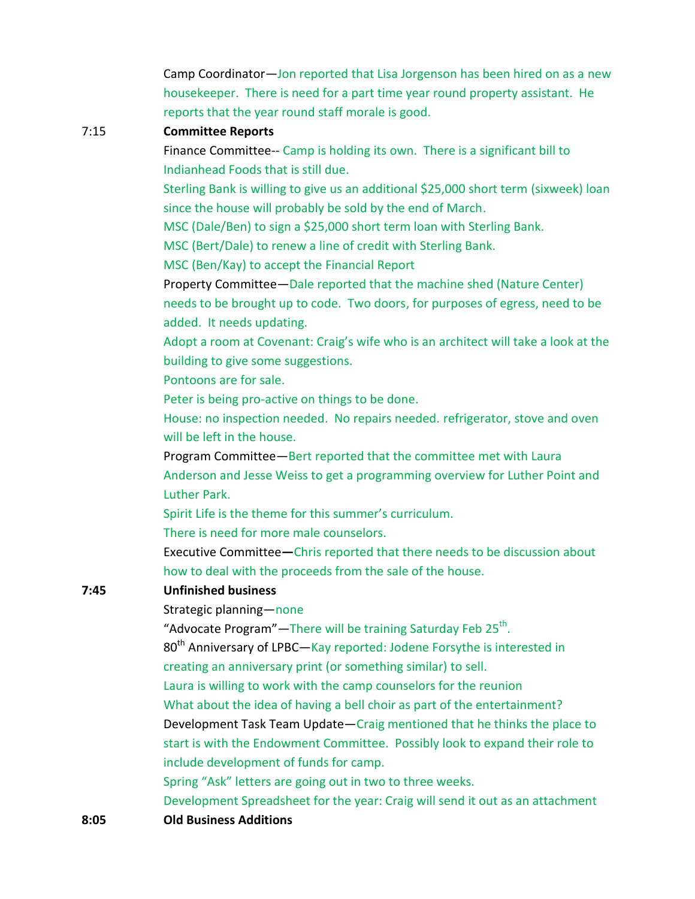Camp Coordinator—Jon reported that Lisa Jorgenson has been hired on as a new housekeeper. There is need for a part time year round property assistant. He reports that the year round staff morale is good.

### 7:15 **Committee Reports**

Finance Committee-- Camp is holding its own. There is a significant bill to Indianhead Foods that is still due.

Sterling Bank is willing to give us an additional \$25,000 short term (sixweek) loan since the house will probably be sold by the end of March.

MSC (Dale/Ben) to sign a \$25,000 short term loan with Sterling Bank.

MSC (Bert/Dale) to renew a line of credit with Sterling Bank.

MSC (Ben/Kay) to accept the Financial Report

Property Committee—Dale reported that the machine shed (Nature Center) needs to be brought up to code. Two doors, for purposes of egress, need to be added. It needs updating.

Adopt a room at Covenant: Craig's wife who is an architect will take a look at the building to give some suggestions.

Pontoons are for sale.

Peter is being pro-active on things to be done.

House: no inspection needed. No repairs needed. refrigerator, stove and oven will be left in the house.

Program Committee—Bert reported that the committee met with Laura Anderson and Jesse Weiss to get a programming overview for Luther Point and Luther Park.

Spirit Life is the theme for this summer's curriculum.

There is need for more male counselors.

Executive Committee**—**Chris reported that there needs to be discussion about how to deal with the proceeds from the sale of the house.

#### **7:45 Unfinished business**

Strategic planning—none

"Advocate Program"—There will be training Saturday Feb 25<sup>th</sup>.

80<sup>th</sup> Anniversary of LPBC—Kay reported: Jodene Forsythe is interested in creating an anniversary print (or something similar) to sell.

Laura is willing to work with the camp counselors for the reunion

What about the idea of having a bell choir as part of the entertainment?

Development Task Team Update—Craig mentioned that he thinks the place to start is with the Endowment Committee. Possibly look to expand their role to include development of funds for camp.

Spring "Ask" letters are going out in two to three weeks.

Development Spreadsheet for the year: Craig will send it out as an attachment